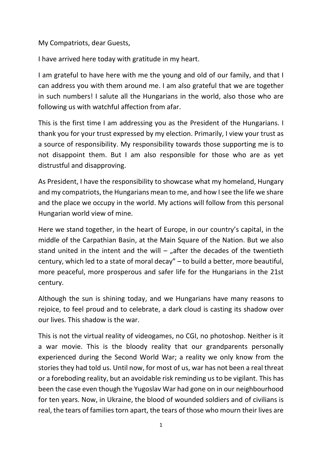My Compatriots, dear Guests,

I have arrived here today with gratitude in my heart.

I am grateful to have here with me the young and old of our family, and that I can address you with them around me. I am also grateful that we are together in such numbers! I salute all the Hungarians in the world, also those who are following us with watchful affection from afar.

This is the first time I am addressing you as the President of the Hungarians. I thank you for your trust expressed by my election. Primarily, I view your trust as a source of responsibility. My responsibility towards those supporting me is to not disappoint them. But I am also responsible for those who are as yet distrustful and disapproving.

As President, I have the responsibility to showcase what my homeland, Hungary and my compatriots, the Hungarians mean to me, and how I see the life we share and the place we occupy in the world. My actions will follow from this personal Hungarian world view of mine.

Here we stand together, in the heart of Europe, in our country's capital, in the middle of the Carpathian Basin, at the Main Square of the Nation. But we also stand united in the intent and the will  $-$  "after the decades of the twentieth century, which led to a state of moral decay" – to build a better, more beautiful, more peaceful, more prosperous and safer life for the Hungarians in the 21st century.

Although the sun is shining today, and we Hungarians have many reasons to rejoice, to feel proud and to celebrate, a dark cloud is casting its shadow over our lives. This shadow is the war.

This is not the virtual reality of videogames, no CGI, no photoshop. Neither is it a war movie. This is the bloody reality that our grandparents personally experienced during the Second World War; a reality we only know from the stories they had told us. Until now, for most of us, war has not been a real threat or a foreboding reality, but an avoidable risk reminding us to be vigilant. This has been the case even though the Yugoslav War had gone on in our neighbourhood for ten years. Now, in Ukraine, the blood of wounded soldiers and of civilians is real, the tears of families torn apart, the tears of those who mourn their lives are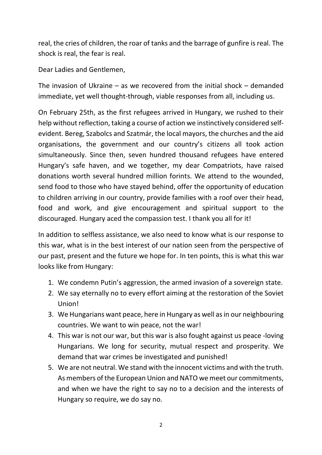real, the cries of children, the roar of tanks and the barrage of gunfire is real. The shock is real, the fear is real.

Dear Ladies and Gentlemen,

The invasion of Ukraine – as we recovered from the initial shock – demanded immediate, yet well thought-through, viable responses from all, including us.

On February 25th, as the first refugees arrived in Hungary, we rushed to their help without reflection, taking a course of action we instinctively considered selfevident. Bereg, Szabolcs and Szatmár, the local mayors, the churches and the aid organisations, the government and our country's citizens all took action simultaneously. Since then, seven hundred thousand refugees have entered Hungary's safe haven, and we together, my dear Compatriots, have raised donations worth several hundred million forints. We attend to the wounded, send food to those who have stayed behind, offer the opportunity of education to children arriving in our country, provide families with a roof over their head, food and work, and give encouragement and spiritual support to the discouraged. Hungary aced the compassion test. I thank you all for it!

In addition to selfless assistance, we also need to know what is our response to this war, what is in the best interest of our nation seen from the perspective of our past, present and the future we hope for. In ten points, this is what this war looks like from Hungary:

- 1. We condemn Putin's aggression, the armed invasion of a sovereign state.
- 2. We say eternally no to every effort aiming at the restoration of the Soviet Union!
- 3. We Hungarians want peace, here in Hungary as well as in our neighbouring countries. We want to win peace, not the war!
- 4. This war is not our war, but this war is also fought against us peace -loving Hungarians. We long for security, mutual respect and prosperity. We demand that war crimes be investigated and punished!
- 5. We are not neutral. We stand with the innocent victims and with the truth. As members of the European Union and NATO we meet our commitments, and when we have the right to say no to a decision and the interests of Hungary so require, we do say no.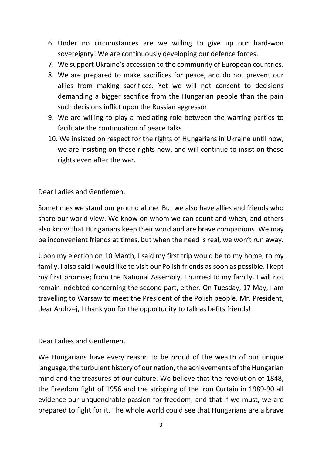- 6. Under no circumstances are we willing to give up our hard-won sovereignty! We are continuously developing our defence forces.
- 7. We support Ukraine's accession to the community of European countries.
- 8. We are prepared to make sacrifices for peace, and do not prevent our allies from making sacrifices. Yet we will not consent to decisions demanding a bigger sacrifice from the Hungarian people than the pain such decisions inflict upon the Russian aggressor.
- 9. We are willing to play a mediating role between the warring parties to facilitate the continuation of peace talks.
- 10. We insisted on respect for the rights of Hungarians in Ukraine until now, we are insisting on these rights now, and will continue to insist on these rights even after the war.

Dear Ladies and Gentlemen,

Sometimes we stand our ground alone. But we also have allies and friends who share our world view. We know on whom we can count and when, and others also know that Hungarians keep their word and are brave companions. We may be inconvenient friends at times, but when the need is real, we won't run away.

Upon my election on 10 March, I said my first trip would be to my home, to my family. I also said I would like to visit our Polish friends as soon as possible. I kept my first promise; from the National Assembly, I hurried to my family. I will not remain indebted concerning the second part, either. On Tuesday, 17 May, I am travelling to Warsaw to meet the President of the Polish people. Mr. President, dear Andrzej, I thank you for the opportunity to talk as befits friends!

Dear Ladies and Gentlemen,

We Hungarians have every reason to be proud of the wealth of our unique language, the turbulent history of our nation, the achievements of the Hungarian mind and the treasures of our culture. We believe that the revolution of 1848, the Freedom fight of 1956 and the stripping of the Iron Curtain in 1989-90 all evidence our unquenchable passion for freedom, and that if we must, we are prepared to fight for it. The whole world could see that Hungarians are a brave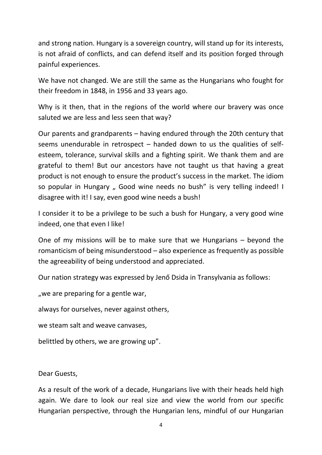and strong nation. Hungary is a sovereign country, will stand up for its interests, is not afraid of conflicts, and can defend itself and its position forged through painful experiences.

We have not changed. We are still the same as the Hungarians who fought for their freedom in 1848, in 1956 and 33 years ago.

Why is it then, that in the regions of the world where our bravery was once saluted we are less and less seen that way?

Our parents and grandparents – having endured through the 20th century that seems unendurable in retrospect – handed down to us the qualities of selfesteem, tolerance, survival skills and a fighting spirit. We thank them and are grateful to them! But our ancestors have not taught us that having a great product is not enough to ensure the product's success in the market. The idiom so popular in Hungary " Good wine needs no bush" is very telling indeed! I disagree with it! I say, even good wine needs a bush!

I consider it to be a privilege to be such a bush for Hungary, a very good wine indeed, one that even I like!

One of my missions will be to make sure that we Hungarians – beyond the romanticism of being misunderstood – also experience as frequently as possible the agreeability of being understood and appreciated.

Our nation strategy was expressed by Jenő Dsida in Transylvania as follows:

", we are preparing for a gentle war,

always for ourselves, never against others,

we steam salt and weave canvases,

belittled by others, we are growing up".

Dear Guests,

As a result of the work of a decade, Hungarians live with their heads held high again. We dare to look our real size and view the world from our specific Hungarian perspective, through the Hungarian lens, mindful of our Hungarian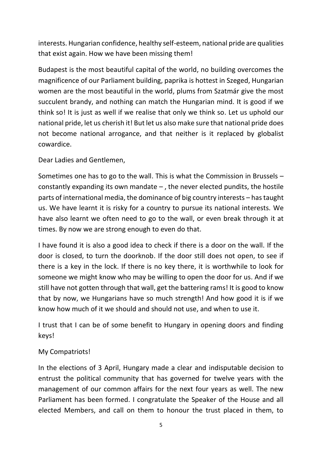interests. Hungarian confidence, healthy self-esteem, national pride are qualities that exist again. How we have been missing them!

Budapest is the most beautiful capital of the world, no building overcomes the magnificence of our Parliament building, paprika is hottest in Szeged, Hungarian women are the most beautiful in the world, plums from Szatmár give the most succulent brandy, and nothing can match the Hungarian mind. It is good if we think so! It is just as well if we realise that only we think so. Let us uphold our national pride, let us cherish it! But let us also make sure that national pride does not become national arrogance, and that neither is it replaced by globalist cowardice.

Dear Ladies and Gentlemen,

Sometimes one has to go to the wall. This is what the Commission in Brussels – constantly expanding its own mandate  $-$ , the never elected pundits, the hostile parts of international media, the dominance of big country interests – has taught us. We have learnt it is risky for a country to pursue its national interests. We have also learnt we often need to go to the wall, or even break through it at times. By now we are strong enough to even do that.

I have found it is also a good idea to check if there is a door on the wall. If the door is closed, to turn the doorknob. If the door still does not open, to see if there is a key in the lock. If there is no key there, it is worthwhile to look for someone we might know who may be willing to open the door for us. And if we still have not gotten through that wall, get the battering rams! It is good to know that by now, we Hungarians have so much strength! And how good it is if we know how much of it we should and should not use, and when to use it.

I trust that I can be of some benefit to Hungary in opening doors and finding keys!

## My Compatriots!

In the elections of 3 April, Hungary made a clear and indisputable decision to entrust the political community that has governed for twelve years with the management of our common affairs for the next four years as well. The new Parliament has been formed. I congratulate the Speaker of the House and all elected Members, and call on them to honour the trust placed in them, to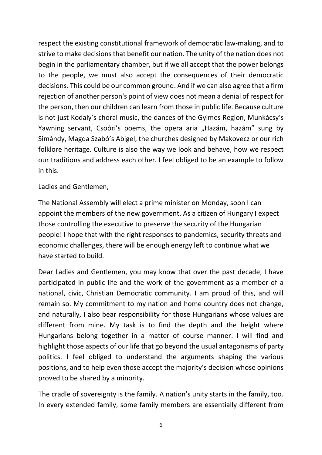respect the existing constitutional framework of democratic law-making, and to strive to make decisions that benefit our nation. The unity of the nation does not begin in the parliamentary chamber, but if we all accept that the power belongs to the people, we must also accept the consequences of their democratic decisions. This could be our common ground. And if we can also agree that a firm rejection of another person's point of view does not mean a denial of respect for the person, then our children can learn from those in public life. Because culture is not just Kodaly's choral music, the dances of the Gyimes Region, Munkácsy's Yawning servant, Csoóri's poems, the opera aria "Hazám, hazám" sung by Simándy, Magda Szabó's Abigel, the churches designed by Makovecz or our rich folklore heritage. Culture is also the way we look and behave, how we respect our traditions and address each other. I feel obliged to be an example to follow in this.

## Ladies and Gentlemen,

The National Assembly will elect a prime minister on Monday, soon I can appoint the members of the new government. As a citizen of Hungary I expect those controlling the executive to preserve the security of the Hungarian people! I hope that with the right responses to pandemics, security threats and economic challenges, there will be enough energy left to continue what we have started to build.

Dear Ladies and Gentlemen, you may know that over the past decade, I have participated in public life and the work of the government as a member of a national, civic, Christian Democratic community. I am proud of this, and will remain so. My commitment to my nation and home country does not change, and naturally, I also bear responsibility for those Hungarians whose values are different from mine. My task is to find the depth and the height where Hungarians belong together in a matter of course manner. I will find and highlight those aspects of our life that go beyond the usual antagonisms of party politics. I feel obliged to understand the arguments shaping the various positions, and to help even those accept the majority's decision whose opinions proved to be shared by a minority.

The cradle of sovereignty is the family. A nation's unity starts in the family, too. In every extended family, some family members are essentially different from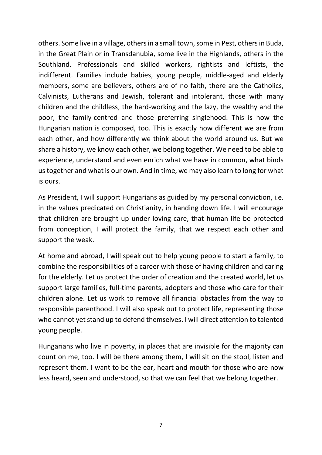others. Some live in a village, others in a small town, some in Pest, others in Buda, in the Great Plain or in Transdanubia, some live in the Highlands, others in the Southland. Professionals and skilled workers, rightists and leftists, the indifferent. Families include babies, young people, middle-aged and elderly members, some are believers, others are of no faith, there are the Catholics, Calvinists, Lutherans and Jewish, tolerant and intolerant, those with many children and the childless, the hard-working and the lazy, the wealthy and the poor, the family-centred and those preferring singlehood. This is how the Hungarian nation is composed, too. This is exactly how different we are from each other, and how differently we think about the world around us. But we share a history, we know each other, we belong together. We need to be able to experience, understand and even enrich what we have in common, what binds us together and what is our own. And in time, we may also learn to long for what is ours.

As President, I will support Hungarians as guided by my personal conviction, i.e. in the values predicated on Christianity, in handing down life. I will encourage that children are brought up under loving care, that human life be protected from conception, I will protect the family, that we respect each other and support the weak.

At home and abroad, I will speak out to help young people to start a family, to combine the responsibilities of a career with those of having children and caring for the elderly. Let us protect the order of creation and the created world, let us support large families, full-time parents, adopters and those who care for their children alone. Let us work to remove all financial obstacles from the way to responsible parenthood. I will also speak out to protect life, representing those who cannot yet stand up to defend themselves. I will direct attention to talented young people.

Hungarians who live in poverty, in places that are invisible for the majority can count on me, too. I will be there among them, I will sit on the stool, listen and represent them. I want to be the ear, heart and mouth for those who are now less heard, seen and understood, so that we can feel that we belong together.